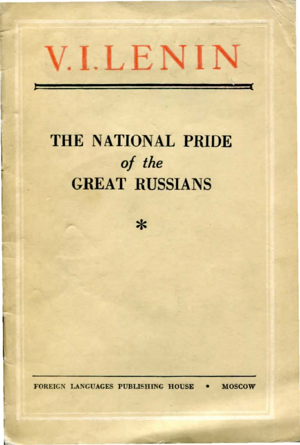# **V.I.LENIN**

## THE NATIONAL PRIDE of the **GREAT RUSSIANS**

 $\ast$ 

FOREIGN LANGUAGES PUBLISHING HOUSE **MOSCOW**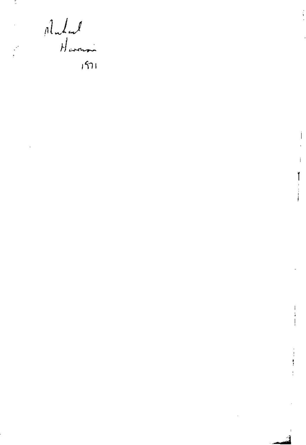Antal<br>Hammin

 $\begin{array}{c} 1 \\ 1 \\ 1 \end{array}$ 

计本土

t ä.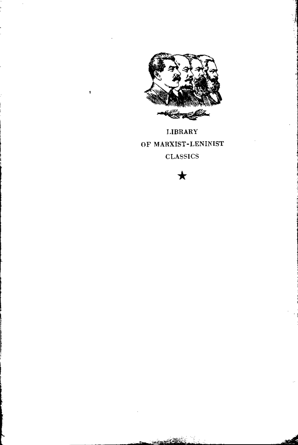

LIBRARY OF MARXIST-LENINIST CLASSICS

#### $\bigstar$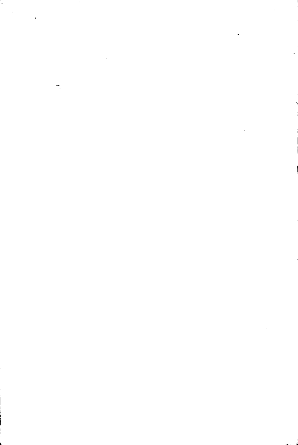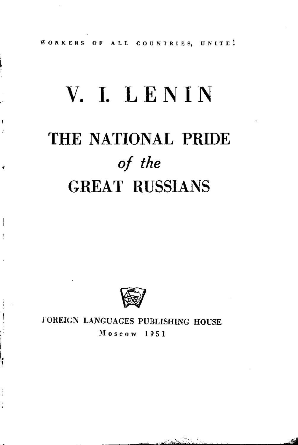## V. I. LENIN

ł

ł

## THE NATIONAL PRIDE of the **GREAT RUSSIANS**



FOREIGN LANGUAGES PUBLISHING HOUSE Moscow 1951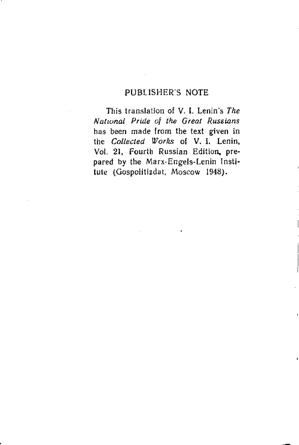#### PUBLISHER'S NOTE

This translation of V. I. Lenin's The *National* Pride *of the Great Russians*  has been made from the text given in the *Collected Works* of V. I. Lenin, Vol. 21, Fourth Russian Edition. prepared by the Marx-Engels·Lenin Institute (Gospolitizdat, Moscow 1948).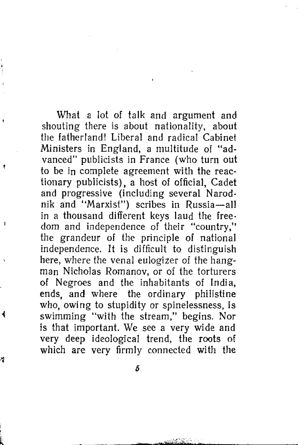What a lot of talk and argument and shouting there is about nationality, about the fatherland! Liberal and radical Cabinet Ministers in England, a multitude of "advanced" publicists in France (who turn out to be in complete agreement with the reactionary publicists), a host of official, Cadet and progressive (including several Narodnik and "Marxist") scribes in Russia-all in a thousand different keys laud the freedom and independence of their "country," the grandeur of the principle of national independence. It is difficult to distinguish here, where the venal eulogizer of the hangman Nicholas Romanov, or of the torturers of Negroes and the inhabitants of India, ends, and where the ordinary philistine who, owing to stupidity or spinelessness, is swimming "with the stream," begins. Nor is that important. We see a very wide and very deep ideological trend, the roots of which are very firmly connected with the

*5* 

d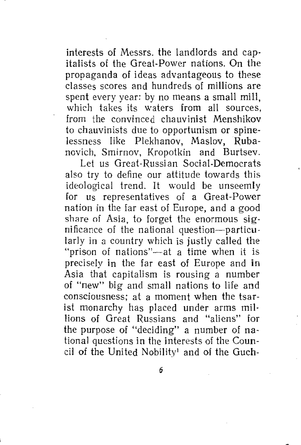interests of Messrs. the landlords and capitalists of the Great-Power nations. On the propaganda of ideas advantageous to these classes scores and hundreds of millions are spent every year: by no means a small mill, which takes its waters from all sources. from the convinced chauvinist Menshikov to chauvinists due to opportunism or spinelessness like Plekhanov, Maslov, Rubanovich, Smirnov, Kropotkin and Burtsev.

Let us Great-Russian Social-Democrats also try to define our attitude towards this ideological trend. It would be unseemly for us representatives of a Great-Power nation in the far east of Europe, and a good share of Asia, to forget the enormous significance of the national question-particu· larly in a country which is justly called the "prison of nations"—at a time when it is precisely in the far east of Europe and in Asia that capitalism is rousing a number of "new" big and small nations to life and consciousness; at a moment when the tsarist monarchy has placed under arms millions of Great Russians and "aliens" for the purpose of "deciding" a number of national questions in the interests of the Council of the United Nobility' and of the Gueh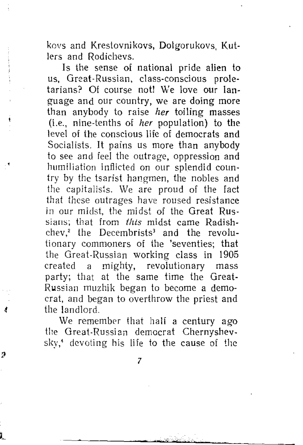kovs and Kreslovnikovs, Dolgorukovs, Kutlers and Rodichevs.

Is the sense of national pride alien to us, Great-Russian, class-conscious proletarians? Of course not! We love our language and our country, we are doing more than anybody to raise *her* toiling masses (i.e., nine-tenths of *her* population) to the level of the conscious life of democrats and Socialists. It pains us more than anybody to see and feel the outrage, oppression and humiliation inflicted on our splendid country by the tsarist hangmen, the nobles and the capitalists. We are proud of the fact that these outrages have roused resistance in our midst, the midst of the Great Rus**sians; that from** *thts* **midst came Radish**chev,' the Decembrists' and the revolutionary commoners of the 'seventies; that the Great-Russian working class in 1905 created a mighty, revolutionary mass party; that at the same time the Great-Russian muzhik began to become a democrat, and began to overthrow the priest and the landlord.

We remember that half a century ago the Great-Russian democrat Chernyshevsky,' devoting his life to the cause of the

*7*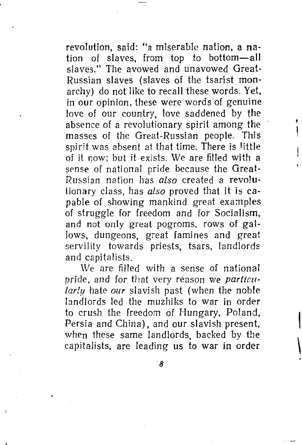revolution, said: "a miserable nation, a nation of slaves, from top to bottom-all slaves." The avowed and unavowed Great-Russian slaves (slaves of the tsarist monarchy) do not like to recall these words. Yet, in our opinion, these were words of genuine love of our country, love saddened by the absence of a revolutionary spirit among the masses of the Great-Russian people. This spirit was absent at that time. There is little of it now; but it exists. We are filled with a sense of national pride because the Great-Russian nation has *also* created a revo!ulionary class, has *also* proved that it is capable of showing mankind great examples of struggle for freedom and for Socialism, and not only great pogroms, rows of gallows, dungeons, great famines and great servility towards priests, tsars, landlords and capitalists.

\Ve are filled with a sense of national pride, and for that very reason we *particularly* hate *our* slavish past (when the noble landlords led the muzhiks to war in order to crush the freedom of Hungary, Poland, Persia and China), and our slavish present, when these same landlords, backed by the capitalists, are leading us to war in order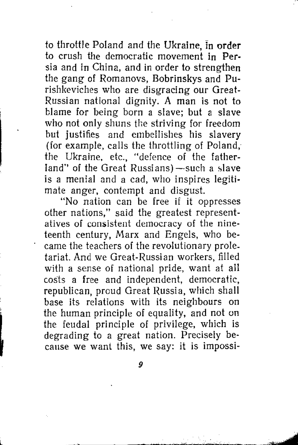to throttle Poland and the Ukraine, in order to crush the democratic movement in Persia and in China, and in order to strengthen the gang of Romanovs, Bobrinskys and Purishkeviches who are disgracing our Great-Russian national dignity. A man is not to blame for being born a slave; but a slave who not only shuns the striving for freedom but justifies and embellishes his slavery (for example, calls the throttling of Poland, the Ukraine, etc., "defence of the fatherland" of the Great Russians)-such a slave is a menial and a cad, who inspires legitimate anger, contempt and disgust.

"No nation can be free if it oppresses other nations," said the greatest representatives of consistent democracy of the nineteenth century, Marx and Engels, who became the teachers of the revolutionary prole. lariat. And we Great-Russian workers, filled with a sense of national pride, want at all costs a free and independent, democratic, republican, proud Great Russia, which shall base its relations with its neighbours on the human principle of equality, and not on the feudal principle of privilege, which is degrading to a great nation. Precisely because we want this, we say: it is impossi-

9

L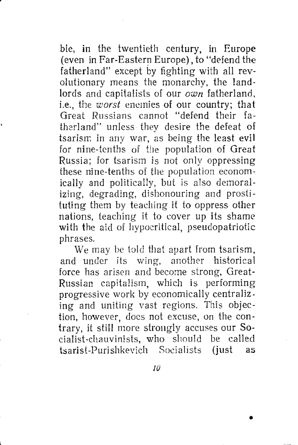ble, in the twentieth century, in Europe (even in Far-Eastern Europe), to "defend the fatherland" except *by* fighting with all revolutionary means the monarchy, the landlords and capitalists of our *own* fatherland, i.e., the worst enemies of our country; that Great Russians cannot "defend their fatherland" unless they desire the defeat of tsarisrr. in any war, as being the least evil for nine-tenths of the population of Great Russia; for tsarism is not only oppressing these nine-tenths of the population economically and politically, but is also demoralizing, degrading, dishonouring and prostituting them by teaching it to oppress other nations, teaching it to cover up its shame with the aid of hypocritical, pseudopatriotic phrases.

We may be told that apart from tsarism, and under its wing, another historical force has arisen and become strong, Great-Russian capitalism, which is performing progressive work by economically centralizing and uniting vast regions. This objec**tion, however, docs not excuse, on the con·**  trary, it still more strongly accuses our Socialist-chauvinists, who should be called tsarist-Purishkevich Socialists (just as

•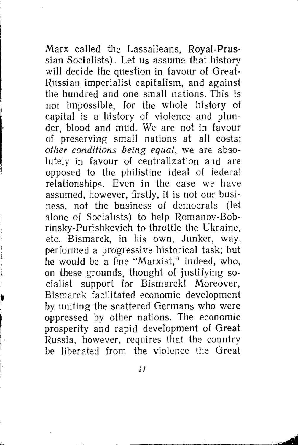Marx called the Lassalleans, Royal-Prussian Socialists). Let us assume that history will decide the question in favour of Great-Russian imperialist capitalism, and against the hundred and one small nations. This is not impossible, for the whole history of capital is a history of violence and plun· der, blood and mud. We are not in favour of preserving small nations at all costs; *other conditions being equal,* we are absolutely in favour of centralization and are opposed to the philistine ideal of federal relationships. Even in the case we have assumed, however, firstly, it is not our business, not the business of democrats (let alone of Socialists) to help Romanov-Bobrinsky-Purishkevich to throttle the Ukraine, etc. Bismarck, in his own, Junker, way, performed a progressive historical task; but he would be a fine "Marxist," indeed, who, on these grounds, thought of justifying socialist support for Bismarck! Moreover, Bismarck facilitated economic development by uniting the scattered Germans who were oppressed by other nations. The economic prosperity and rapid development of Great Russia, however, requires that the country be liberated from the violence the Great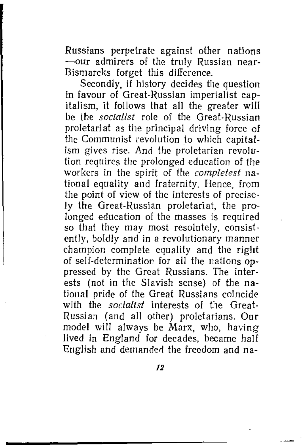Russians perpetrate against other nations -our admirers of the truly Russian near-Bismarcks forget this difference.

Secondly, if history decides the question in favour of Great-Russian imperialist capitalism, it follows that all the greater will be the *socialist* role of the Great-Russian proletariat as the principal driving force of the Communist revolution to which capitalism gives rise. And the proletarian revolution requires the prolonged education of the workers in the spirit of the *completest* national equality and fraternity\_ Hence. from the point of view of the interests of precisely the Great-Russian proletariat, the prolonged education of the masses is required so that they may most resolutely, consistently, boldly and in a revolutionary manner champion complete equality and the right of self-determination for all the nations oppressed by the Great Russians. The interests (not in the Slavish sense) of the national pride of the Great Russians coincide with the *socialist* interests of the Great-Russi an (and all other) proletarians. Our model will always be Marx, who, having lived in England for decades, became half English and demanded the freedom and na-

*/2* 

القويلات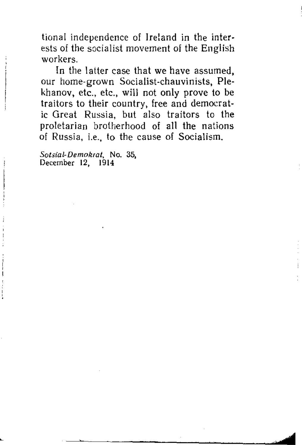tional independence of Ireland in the interests of the socialist movement of the English workers.

In the latter case that we have assumed, our home-grown Socialist-chauvinists, Plekhanov, etc., etc., will not only prove to be traitors to their country, free and democratic Great Russia, but also traitors to the proletarian brotherhood of all the nations of Russia, i.e., to the cause of Socialism.

**Sotsial-Demokrat, No. 35, December 12, 1914**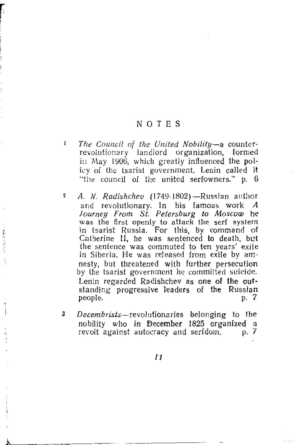#### N 0 TES

r

Manager (1

 $\begin{array}{c} \vdots \\ \vdots \\ \vdots \\ \vdots \end{array}$ 

计传递

- I *The Council of the United Nobility-a* countcrrevolutionary landlord organization, formed in May 1906, which greatly influenced the policy oi the: tsarist governrnent. Lenin called it "the council of the united serfowners." p. 6
- $\overline{2}$ *A. N. Radishchev* (1749-1802)--Russian author and revolutionary. In his famous work A<br>Journey From St. Petersburg to Moscow he was the first openly to attack the serf system in tsarist Russia. For this, by command of Catherine II, he was sentenced to death, but the sentence was commuted to ten years' exile in Siberia. He was released from exile by amnesty, but threatened with further persecution by the tsarist government he committed suicide. Lenin regarded Radishchev as one of the outstanding progressive leaders of the Russian<br>people. people.
- Decembrists-revolutionaries belonging to the  $\mathbf{3}$ nobility who in Becember 1825 organized a<br>revolt against autocracy and serfdom. b. 7 revolt against autocracy and serfdom.

11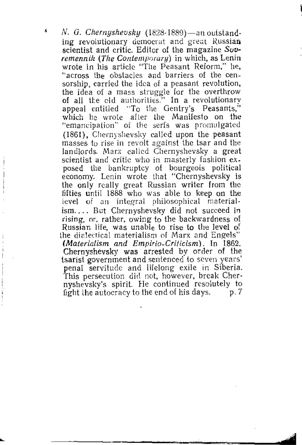N. G. Chernyshevsky (1828-1889)-an outstanding revolutionary democrat and great Russian scientist and critic. Editor of the magazine *Suv· remennik (The Contemporary)* in which, as Lenin wrote in his article "The Peasant Reform," he, "across the obstacles and barriers of the censorship, carried the idea of a peasant revolution, the idea of a mass struggle for the overthrow of all tte cld authorities." In a revolutionarv appeal entitled "To the Gentry's Peasants," which he wrote after the Manifesto on the "emancipation" of the serfs was promulgated (1861), Chernysllevsky called upon the peasant masses to rise in revolt against the tsar and the landlords. Marx called Chernyshevsky a great scientist and critic who in masterly fashion exposed the bankruptcy of bourgeois political economy. Lenin wrote that "Chernyshevsky is the only really great Russian writer from the fifties until  $1888$  who was able to keep on the level of an integral philosophical materialism.... But Chernyshevsky did not succeed in rising, or, rather, owing to the backwardness of Russian life, was unable to rise to the level of the dialectical materialism of Marx and Engels" (Materialism and Empirio-Crificism). In 1862. Chernyshevsky was arrested by order of the tsarist government and sentenced to seven years' penal servitude and iifelong exile in Siberia. This persecution did not, however, break Chernyshevsky's spirit. He continued resolutely to fight the autocracy to the end of his days. p. 7 fight the autocracy to the end of his days.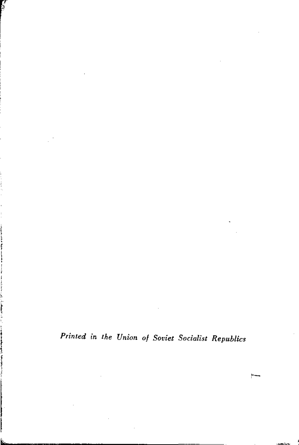*Printed in the Union of Soriet Socialist Republics* 

l.

 $\mathbf{I}$  is a set of  $\mathbf{I}$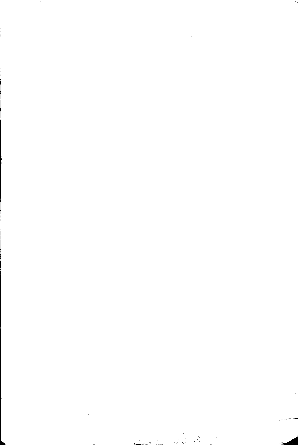